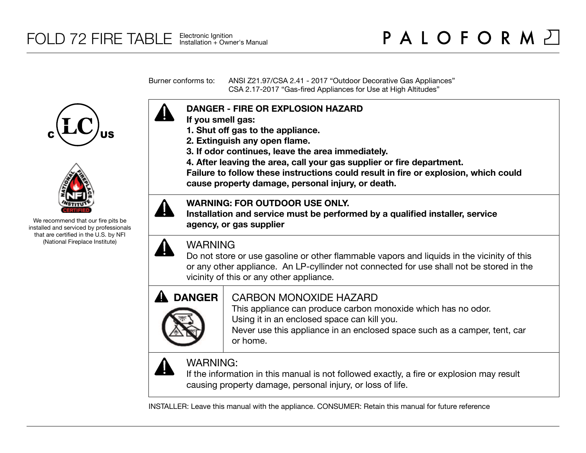Burner conforms to: ANSI Z21.97/CSA 2.41 - 2017 "Outdoor Decorative Gas Appliances" CSA 2.17-2017 "Gas-fired Appliances for Use at High Altitudes"





We recommend that our fire pits be installed and serviced by professionals that are certified in the U.S. by NFI (National Fireplace Institute)



- **If you smell gas:**
- **1. Shut off gas to the appliance.**
- **2. Extinguish any open flame.**
- **3. If odor continues, leave the area immediately.**
- **4. After leaving the area, call your gas supplier or fire department.**

**Failure to follow these instructions could result in fire or explosion, which could cause property damage, personal injury, or death.**

## **WARNING: FOR OUTDOOR USE ONLY.**

**Installation and service must be performed by a qualified installer, service agency, or gas supplier**



# WARNING

Do not store or use gasoline or other flammable vapors and liquids in the vicinity of this or any other appliance. An LP-cyllinder not connected for use shall not be stored in the vicinity of this or any other appliance.



# CARBON MONOXIDE HAZARD

This appliance can produce carbon monoxide which has no odor. Using it in an enclosed space can kill you.

Never use this appliance in an enclosed space such as a camper, tent, car or home.



# WARNING:

If the information in this manual is not followed exactly, a fire or explosion may result causing property damage, personal injury, or loss of life.

INSTALLER: Leave this manual with the appliance. CONSUMER: Retain this manual for future reference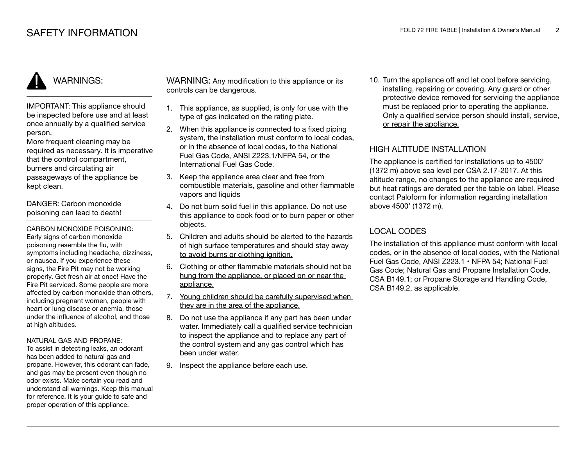# WARNINGS:

IMPORTANT: This appliance should be inspected before use and at least once annually by a qualified service person.

More frequent cleaning may be required as necessary. It is imperative that the control compartment, burners and circulating air passageways of the appliance be kept clean.

DANGER: Carbon monoxide poisoning can lead to death!

CARBON MONOXIDE POISONING: Early signs of carbon monoxide poisoning resemble the flu, with symptoms including headache, dizziness, or nausea. If you experience these signs, the Fire Pit may not be working properly. Get fresh air at once! Have the Fire Pit serviced. Some people are more affected by carbon monoxide than others, including pregnant women, people with heart or lung disease or anemia, those under the influence of alcohol, and those at high altitudes.

#### NATURAL GAS AND PROPANE:

To assist in detecting leaks, an odorant has been added to natural gas and propane. However, this odorant can fade, and gas may be present even though no odor exists. Make certain you read and understand all warnings. Keep this manual for reference. It is your guide to safe and proper operation of this appliance.

WARNING: Any modification to this appliance or its controls can be dangerous.

- 1. This appliance, as supplied, is only for use with the type of gas indicated on the rating plate.
- 2. When this appliance is connected to a fixed piping system, the installation must conform to local codes. or in the absence of local codes, to the National Fuel Gas Code, ANSI Z223.1/NFPA 54, or the International Fuel Gas Code.
- 3. Keep the appliance area clear and free from combustible materials, gasoline and other flammable vapors and liquids
- 4. Do not burn solid fuel in this appliance. Do not use this appliance to cook food or to burn paper or other objects.
- 5. Children and adults should be alerted to the hazards of high surface temperatures and should stay away to avoid burns or clothing ignition.
- 6. Clothing or other flammable materials should not be hung from the appliance, or placed on or near the appliance.
- 7. Young children should be carefully supervised when they are in the area of the appliance.
- 8. Do not use the appliance if any part has been under water. Immediately call a qualified service technician to inspect the appliance and to replace any part of the control system and any gas control which has been under water.
- 9. Inspect the appliance before each use.

10. Turn the appliance off and let cool before servicing, installing, repairing or covering. Any guard or other protective device removed for servicing the appliance must be replaced prior to operating the appliance. Only a qualified service person should install, service, or repair the appliance.

## HIGH ALTITUDE INSTALLATION

The appliance is certified for installations up to 4500' (1372 m) above sea level per CSA 2.17-2017. At this altitude range, no changes to the appliance are required but heat ratings are derated per the table on label. Please contact Paloform for information regarding installation above 4500' (1372 m).

## LOCAL CODES

The installation of this appliance must conform with local codes, or in the absence of local codes, with the National Fuel Gas Code, ANSI Z223.1 • NFPA 54; National Fuel Gas Code; Natural Gas and Propane Installation Code, CSA B149.1; or Propane Storage and Handling Code, CSA B149.2, as applicable.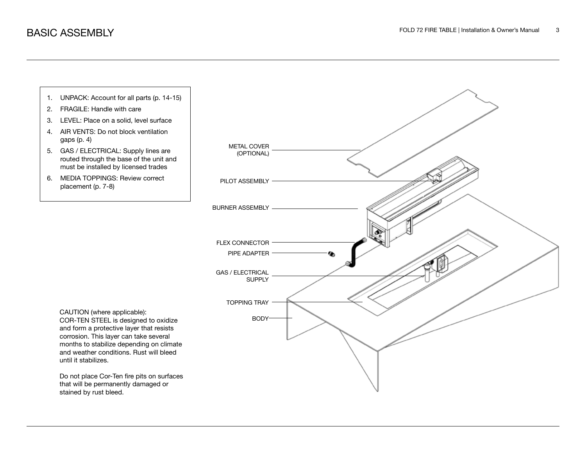

- 2. FRAGILE: Handle with care
- 3. LEVEL: Place on a solid, level surface
- 4. AIR VENTS: Do not block ventilation gaps (p. 4)
- 5. GAS / ELECTRICAL: Supply lines are routed through the base of the unit and must be installed by licensed trades
- 6. MEDIA TOPPINGS: Review correct placement (p. 7-8)



CAUTION (where applicable): COR-TEN STEEL is designed to oxidize and form a protective layer that resists corrosion. This layer can take several months to stabilize depending on climate and weather conditions. Rust will bleed until it stabilizes.

Do not place Cor-Ten fire pits on surfaces that will be permanently damaged or stained by rust bleed.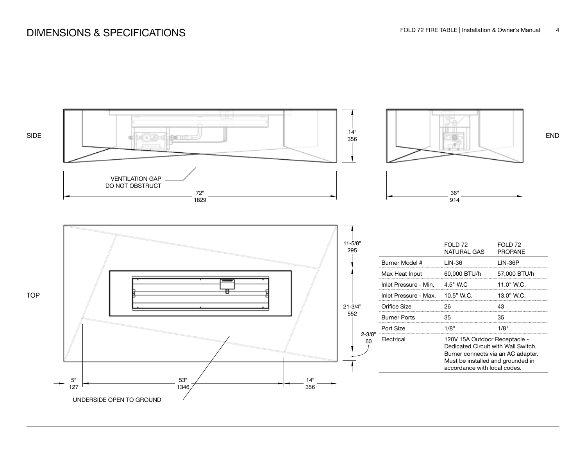# DIMENSIONS & SPECIFICATIONS

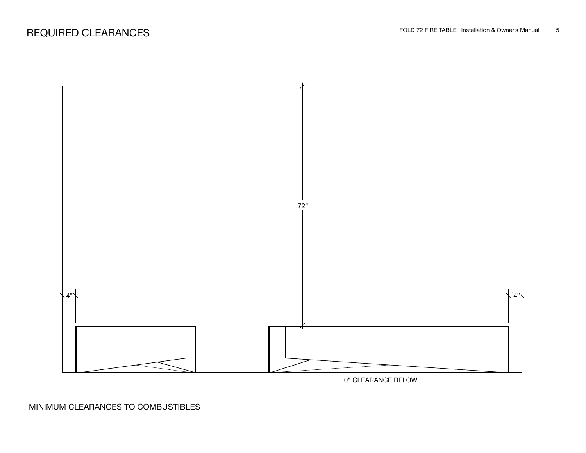

0" CLEARANCE BELOW

MINIMUM CLEARANCES TO COMBUSTIBLES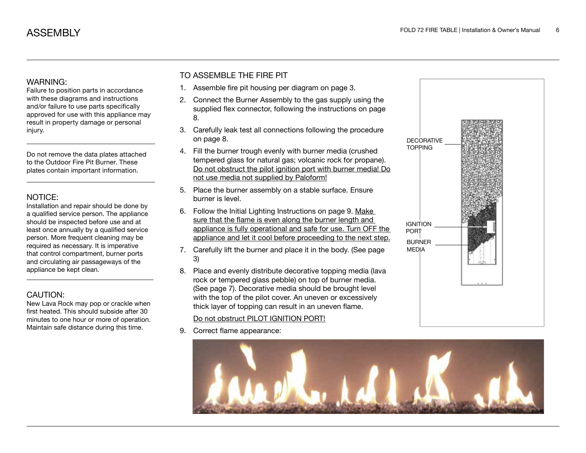### WARNING:

Failure to position parts in accordance with these diagrams and instructions and/or failure to use parts specifically approved for use with this appliance may result in property damage or personal injury.

Do not remove the data plates attached to the Outdoor Fire Pit Burner. These plates contain important information.

### NOTICE:

Installation and repair should be done by a qualified service person. The appliance should be inspected before use and at least once annually by a qualified service person. More frequent cleaning may be required as necessary. It is imperative that control compartment, burner ports and circulating air passageways of the appliance be kept clean.

## CAUTION:

New Lava Rock may pop or crackle when first heated. This should subside after 30 minutes to one hour or more of operation. Maintain safe distance during this time.

## TO ASSEMBLE THE FIRE PIT

- 1. Assemble fire pit housing per diagram on page 3.
- 2. Connect the Burner Assembly to the gas supply using the supplied flex connector, following the instructions on page 8.
- 3. Carefully leak test all connections following the procedure on page 8.
- 4. Fill the burner trough evenly with burner media (crushed tempered glass for natural gas; volcanic rock for propane). Do not obstruct the pilot ignition port with burner media! Do not use media not supplied by Paloform!
- 5. Place the burner assembly on a stable surface. Ensure burner is level.
- 6. Follow the Initial Lighting Instructions on page 9. Make sure that the flame is even along the burner length and appliance is fully operational and safe for use. Turn OFF the appliance and let it cool before proceeding to the next step.
- 7. Carefully lift the burner and place it in the body. (See page 3)
- 8. Place and evenly distribute decorative topping media (lava rock or tempered glass pebble) on top of burner media. (See page 7). Decorative media should be brought level with the top of the pilot cover. An uneven or excessively thick layer of topping can result in an uneven flame.

## Do not obstruct PILOT IGNITION PORT!

9. Correct flame appearance:



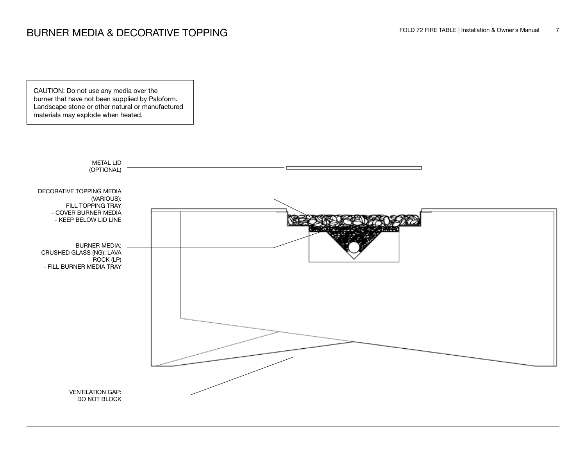CAUTION: Do not use any media over the burner that have not been supplied by Paloform. Landscape stone or other natural or manufactured materials may explode when heated.

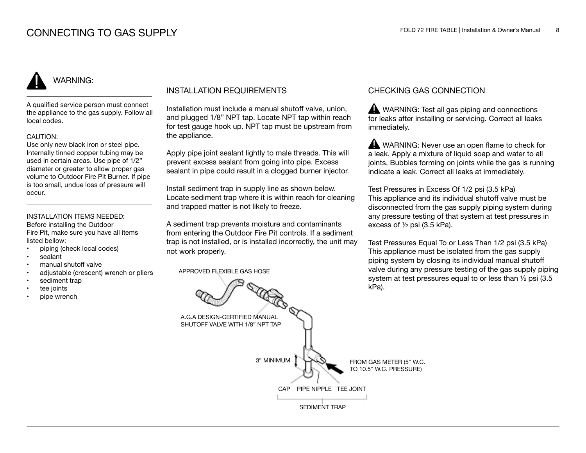# WARNING:

A qualified service person must connect the appliance to the gas supply. Follow all local codes.

#### CAUTION:

Use only new black iron or steel pipe. Internally tinned copper tubing may be used in certain areas. Use pipe of 1/2" diameter or greater to allow proper gas volume to Outdoor Fire Pit Burner. If pipe is too small, undue loss of pressure will occur.

#### INSTALLATION ITEMS NEEDED: Before installing the Outdoor

Fire Pit, make sure you have all items listed bellow:

- piping (check local codes)
- sealant
- manual shutoff valve
- adjustable (crescent) wrench or pliers
- sediment trap
- tee joints
- pipe wrench

## INSTALLATION REQUIREMENTS

Installation must include a manual shutoff valve, union, and plugged 1/8" NPT tap. Locate NPT tap within reach for test gauge hook up. NPT tap must be upstream from the appliance.

Apply pipe joint sealant lightly to male threads. This will prevent excess sealant from going into pipe. Excess sealant in pipe could result in a clogged burner injector.

Install sediment trap in supply line as shown below. Locate sediment trap where it is within reach for cleaning and trapped matter is not likely to freeze.

A sediment trap prevents moisture and contaminants from entering the Outdoor Fire Pit controls. If a sediment trap is not installed, or is installed incorrectly, the unit may not work properly.

APPROVED FLEXIBLE GAS HOSE

## CHECKING GAS CONNECTION

WARNING: Test all gas piping and connections for leaks after installing or servicing. Correct all leaks immediately.

WARNING: Never use an open flame to check for a leak. Apply a mixture of liquid soap and water to all joints. Bubbles forming on joints while the gas is running indicate a leak. Correct all leaks at immediately.

Test Pressures in Excess Of 1/2 psi (3.5 kPa) This appliance and its individual shutoff valve must be disconnected from the gas supply piping system during any pressure testing of that system at test pressures in excess of ½ psi (3.5 kPa).

Test Pressures Equal To or Less Than 1/2 psi (3.5 kPa) This appliance must be isolated from the gas supply piping system by closing its individual manual shutoff valve during any pressure testing of the gas supply piping system at test pressures equal to or less than ½ psi (3.5 kPa).

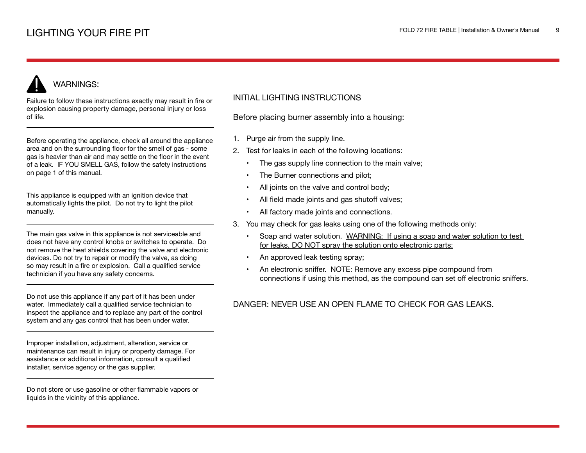# WARNINGS:

Failure to follow these instructions exactly may result in fire or explosion causing property damage, personal injury or loss of life.

Before operating the appliance, check all around the appliance area and on the surrounding floor for the smell of gas - some gas is heavier than air and may settle on the floor in the event of a leak. IF YOU SMELL GAS, follow the safety instructions on page 1 of this manual.

This appliance is equipped with an ignition device that automatically lights the pilot. Do not try to light the pilot manually.

The main gas valve in this appliance is not serviceable and does not have any control knobs or switches to operate. Do not remove the heat shields covering the valve and electronic devices. Do not try to repair or modify the valve, as doing so may result in a fire or explosion. Call a qualified service technician if you have any safety concerns.

Do not use this appliance if any part of it has been under water. Immediately call a qualified service technician to inspect the appliance and to replace any part of the control system and any gas control that has been under water.

Improper installation, adjustment, alteration, service or maintenance can result in injury or property damage. For assistance or additional information, consult a qualified installer, service agency or the gas supplier.

Do not store or use gasoline or other flammable vapors or liquids in the vicinity of this appliance.

## INITIAL LIGHTING INSTRUCTIONS

Before placing burner assembly into a housing:

- 1. Purge air from the supply line.
- 2. Test for leaks in each of the following locations:
	- The gas supply line connection to the main valve;
	- The Burner connections and pilot;
	- All joints on the valve and control body;
	- All field made joints and gas shutoff valves;
	- All factory made joints and connections.
- 3. You may check for gas leaks using one of the following methods only:
	- Soap and water solution. WARNING: If using a soap and water solution to test for leaks, DO NOT spray the solution onto electronic parts;
	- An approved leak testing spray;
	- An electronic sniffer. NOTE: Remove any excess pipe compound from connections if using this method, as the compound can set off electronic sniffers.

## DANGER: NEVER USE AN OPEN FLAME TO CHECK FOR GAS LEAKS.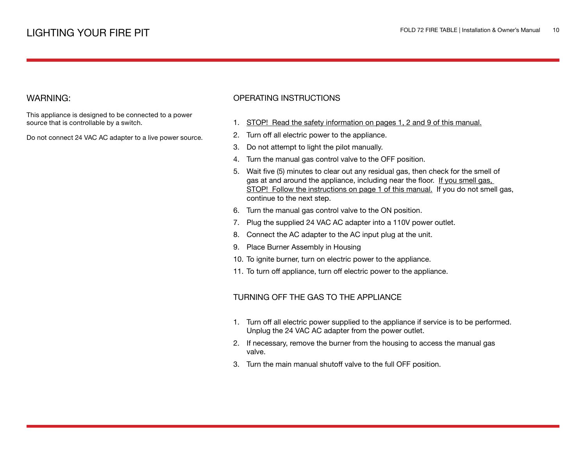## WARNING:

This appliance is designed to be connected to a power source that is controllable by a switch.

Do not connect 24 VAC AC adapter to a live power source.

## OPERATING INSTRUCTIONS

- 1. STOP! Read the safety information on pages 1, 2 and 9 of this manual.
- 2. Turn off all electric power to the appliance.
- 3. Do not attempt to light the pilot manually.
- 4. Turn the manual gas control valve to the OFF position.
- 5. Wait five (5) minutes to clear out any residual gas, then check for the smell of gas at and around the appliance, including near the floor. If you smell gas, STOP! Follow the instructions on page 1 of this manual. If you do not smell gas, continue to the next step.
- 6. Turn the manual gas control valve to the ON position.
- 7. Plug the supplied 24 VAC AC adapter into a 110V power outlet.
- 8. Connect the AC adapter to the AC input plug at the unit.
- 9. Place Burner Assembly in Housing
- 10. To ignite burner, turn on electric power to the appliance.
- 11. To turn off appliance, turn off electric power to the appliance.

### TURNING OFF THE GAS TO THE APPLIANCE

- 1. Turn off all electric power supplied to the appliance if service is to be performed. Unplug the 24 VAC AC adapter from the power outlet.
- 2. If necessary, remove the burner from the housing to access the manual gas valve.
- 3. Turn the main manual shutoff valve to the full OFF position.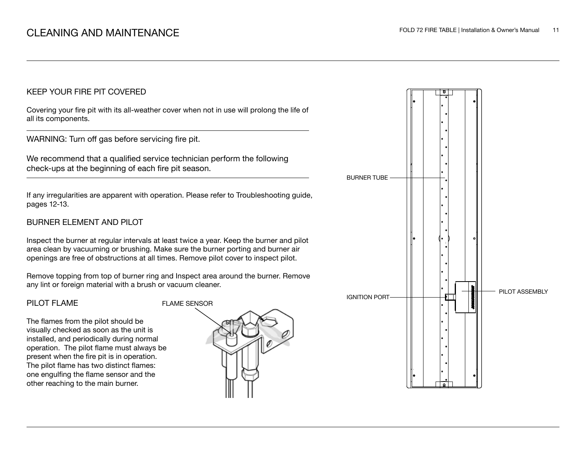## KEEP YOUR FIRE PIT COVERED

Covering your fire pit with its all-weather cover when not in use will prolong the life of all its components.

WARNING: Turn off gas before servicing fire pit.

We recommend that a qualified service technician perform the following check-ups at the beginning of each fire pit season.

If any irregularities are apparent with operation. Please refer to Troubleshooting guide, pages 12-13.

## BURNER ELEMENT AND PILOT

Inspect the burner at regular intervals at least twice a year. Keep the burner and pilot area clean by vacuuming or brushing. Make sure the burner porting and burner air openings are free of obstructions at all times. Remove pilot cover to inspect pilot.

Remove topping from top of burner ring and Inspect area around the burner. Remove any lint or foreign material with a brush or vacuum cleaner.

## PILOT FLAME

The flames from the pilot should be visually checked as soon as the unit is installed, and periodically during normal operation. The pilot flame must always be present when the fire pit is in operation. The pilot flame has two distinct flames: one engulfing the flame sensor and the other reaching to the main burner.



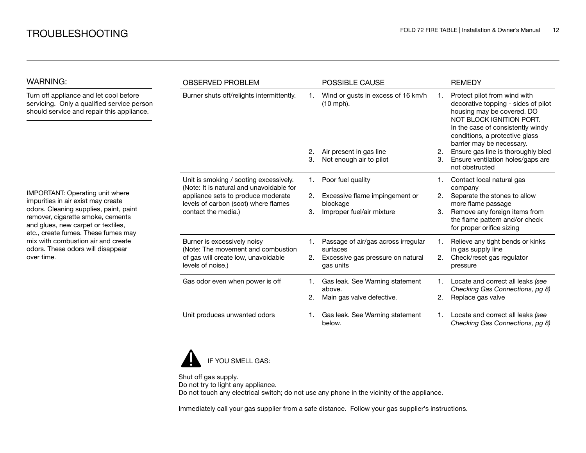| WARNING:                                                                                                                                                                                                                                                                                                                   | <b>OBSERVED PROBLEM</b>                                                                                                                                                                 |    | <b>POSSIBLE CAUSE</b>                             |    | <b>REMEDY</b>                                                                                                                                                                                                                     |
|----------------------------------------------------------------------------------------------------------------------------------------------------------------------------------------------------------------------------------------------------------------------------------------------------------------------------|-----------------------------------------------------------------------------------------------------------------------------------------------------------------------------------------|----|---------------------------------------------------|----|-----------------------------------------------------------------------------------------------------------------------------------------------------------------------------------------------------------------------------------|
| Turn off appliance and let cool before<br>servicing. Only a qualified service person<br>should service and repair this appliance.                                                                                                                                                                                          | Burner shuts off/relights intermittently.                                                                                                                                               |    | Wind or gusts in excess of 16 km/h<br>$(10$ mph). |    | Protect pilot from wind with<br>decorative topping - sides of pilot<br>housing may be covered. DO<br>NOT BLOCK IGNITION PORT.<br>In the case of consistently windy<br>conditions, a protective glass<br>barrier may be necessary. |
|                                                                                                                                                                                                                                                                                                                            |                                                                                                                                                                                         | 2. | Air present in gas line                           | 2. | Ensure gas line is thoroughly bled                                                                                                                                                                                                |
| IMPORTANT: Operating unit where<br>impurities in air exist may create<br>odors. Cleaning supplies, paint, paint<br>remover, cigarette smoke, cements<br>and glues, new carpet or textiles,<br>etc., create fumes. These fumes may<br>mix with combustion air and create<br>odors. These odors will disappear<br>over time. |                                                                                                                                                                                         | З. | Not enough air to pilot                           | 3. | Ensure ventilation holes/gaps are<br>not obstructed                                                                                                                                                                               |
|                                                                                                                                                                                                                                                                                                                            | Unit is smoking / sooting excessively.<br>(Note: It is natural and unavoidable for<br>appliance sets to produce moderate<br>levels of carbon (soot) where flames<br>contact the media.) | 1. | Poor fuel quality                                 |    | Contact local natural gas<br>company                                                                                                                                                                                              |
|                                                                                                                                                                                                                                                                                                                            |                                                                                                                                                                                         | 2. | Excessive flame impingement or                    | 2. | Separate the stones to allow                                                                                                                                                                                                      |
|                                                                                                                                                                                                                                                                                                                            |                                                                                                                                                                                         | 3. | blockage<br>Improper fuel/air mixture             | 3. | more flame passage<br>Remove any foreign items from<br>the flame pattern and/or check<br>for proper orifice sizing                                                                                                                |
|                                                                                                                                                                                                                                                                                                                            | Burner is excessively noisy<br>(Note: The movement and combustion                                                                                                                       |    | Passage of air/gas across irregular<br>surfaces   |    | Relieve any tight bends or kinks<br>in gas supply line                                                                                                                                                                            |
|                                                                                                                                                                                                                                                                                                                            | of gas will create low, unavoidable<br>levels of noise.)                                                                                                                                | 2. | Excessive gas pressure on natural<br>gas units    | 2. | Check/reset gas regulator<br>pressure                                                                                                                                                                                             |
|                                                                                                                                                                                                                                                                                                                            | Gas odor even when power is off                                                                                                                                                         |    | Gas leak. See Warning statement<br>above.         |    | Locate and correct all leaks (see<br>Checking Gas Connections, pg 8)                                                                                                                                                              |
|                                                                                                                                                                                                                                                                                                                            |                                                                                                                                                                                         | 2. | Main gas valve defective.                         | 2. | Replace gas valve                                                                                                                                                                                                                 |
|                                                                                                                                                                                                                                                                                                                            | Unit produces unwanted odors                                                                                                                                                            | 1. | Gas leak. See Warning statement<br>below.         | 1. | Locate and correct all leaks (see<br>Checking Gas Connections, pg 8)                                                                                                                                                              |



Shut off gas supply. Do not try to light any appliance. Do not touch any electrical switch; do not use any phone in the vicinity of the appliance.

Immediately call your gas supplier from a safe distance. Follow your gas supplier's instructions.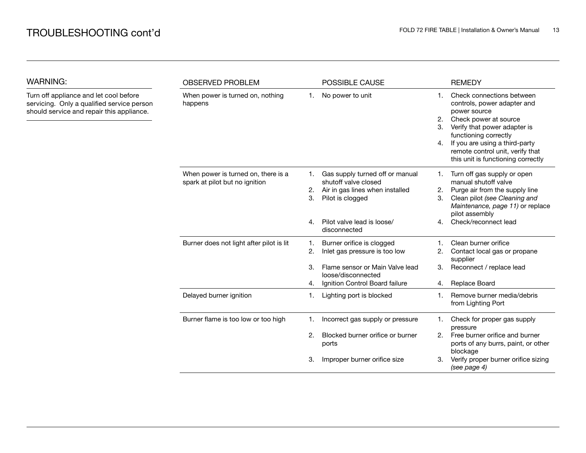WARNING:

| WARNING:                                                                                                                          | <b>OBSERVED PROBLEM</b>                                               |          | POSSIBLE CAUSE                                                                                                 |                | <b>REMEDY</b>                                                                                                                                                                                                                                                          |
|-----------------------------------------------------------------------------------------------------------------------------------|-----------------------------------------------------------------------|----------|----------------------------------------------------------------------------------------------------------------|----------------|------------------------------------------------------------------------------------------------------------------------------------------------------------------------------------------------------------------------------------------------------------------------|
| Turn off appliance and let cool before<br>servicing. Only a qualified service person<br>should service and repair this appliance. | When power is turned on, nothing<br>happens                           | 1.       | No power to unit                                                                                               | 1.<br>2.<br>4. | Check connections between<br>controls, power adapter and<br>power source<br>Check power at source<br>Verify that power adapter is<br>functioning correctly<br>If you are using a third-party<br>remote control unit, verify that<br>this unit is functioning correctly |
|                                                                                                                                   | When power is turned on, there is a<br>spark at pilot but no ignition | 2.<br>3. | Gas supply turned off or manual<br>shutoff valve closed<br>Air in gas lines when installed<br>Pilot is clogged | 2.<br>З.       | Turn off gas supply or open<br>manual shutoff valve<br>Purge air from the supply line<br>Clean pilot (see Cleaning and<br>Maintenance, page 11) or replace                                                                                                             |
|                                                                                                                                   |                                                                       | 4.       | Pilot valve lead is loose/<br>disconnected                                                                     | 4 <sub>1</sub> | pilot assembly<br>Check/reconnect lead                                                                                                                                                                                                                                 |
|                                                                                                                                   | Burner does not light after pilot is lit                              | 1.<br>2. | Burner orifice is clogged<br>Inlet gas pressure is too low                                                     | 2.             | Clean burner orifice<br>Contact local gas or propane<br>supplier                                                                                                                                                                                                       |
|                                                                                                                                   |                                                                       | 3.<br>4. | Flame sensor or Main Valve lead<br>loose/disconnected<br>Ignition Control Board failure                        | 3.<br>4.       | Reconnect / replace lead<br>Replace Board                                                                                                                                                                                                                              |
|                                                                                                                                   | Delayed burner ignition                                               | 1.       | Lighting port is blocked                                                                                       | 1.             | Remove burner media/debris<br>from Lighting Port                                                                                                                                                                                                                       |
|                                                                                                                                   | Burner flame is too low or too high                                   | 1.       | Incorrect gas supply or pressure                                                                               | 1.             | Check for proper gas supply<br>pressure                                                                                                                                                                                                                                |
|                                                                                                                                   |                                                                       | 2.       | Blocked burner orifice or burner<br>ports                                                                      | 2.             | Free burner orifice and burner<br>ports of any burrs, paint, or other<br>blockage                                                                                                                                                                                      |
|                                                                                                                                   |                                                                       | 3.       | Improper burner orifice size                                                                                   | З.             | Verify proper burner orifice sizing<br>(see page 4)                                                                                                                                                                                                                    |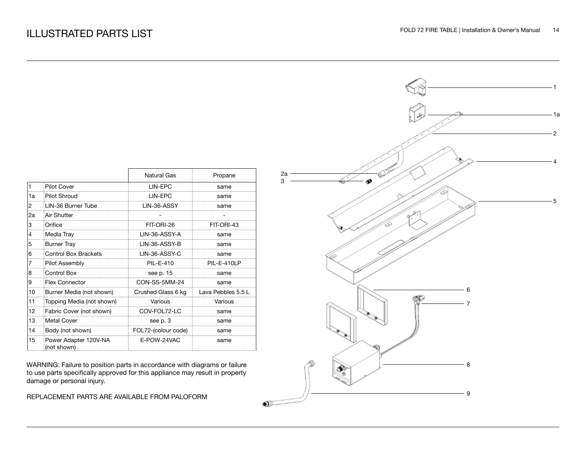|                |                                      | <b>Natural Gas</b>  | Propane            |
|----------------|--------------------------------------|---------------------|--------------------|
| $\mathbf{1}$   | <b>Pilot Cover</b>                   | LIN-EPC             | same               |
| 1a             | <b>Pilot Shroud</b>                  | LIN-EPC             | same               |
| $\overline{2}$ | LIN-36 Burner Tube                   | LIN-36-ASSY         | same               |
| 2a             | Air Shutter                          |                     |                    |
| 3              | Orifice                              | FIT-ORI-26          | FIT-ORI-43         |
| 4              | Media Tray                           | LIN-36-ASSY-A       | same               |
| 5              | <b>Burner Tray</b>                   | LIN-36-ASSY-B       | same               |
| 6              | <b>Control Box Brackets</b>          | LIN-36-ASSY-C       | same               |
| 7              | Pilot Assembly                       | PIL-E-410           | PIL-E-410LP        |
| 8              | Control Box                          | see p. 15           | same               |
| 9              | <b>Flex Connector</b>                | CON-SS-5MM-24       | same               |
| 10             | Burner Media (not shown)             | Crushed Glass 6 kg  | Lava Pebbles 5.5 L |
| 11             | Topping Media (not shown)            | Various             | Various            |
| 12             | Fabric Cover (not shown)             | COV-FOL72-LC        | same               |
| 13             | <b>Metal Cover</b>                   | see p. 3            | same               |
| 14             | Body (not shown)                     | FOL72-(colour code) | same               |
| 15             | Power Adapter 120V-NA<br>(not shown) | E-POW-24VAC         | same               |

WARNING: Failure to position parts in accordance with diagrams or failure to use parts specifically approved for this appliance may result in property damage or personal injury.

REPLACEMENT PARTS ARE AVAILABLE FROM PALOFORM

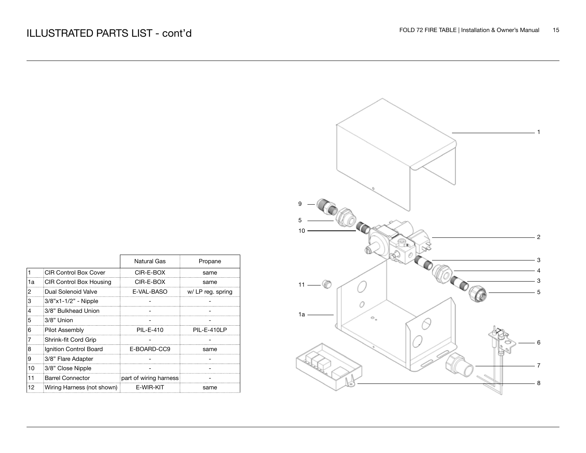|    |                            | Natural Gas            | Propane           |
|----|----------------------------|------------------------|-------------------|
|    | CIR Control Box Cover      | CIR-E-BOX              | same              |
| 1a | CIR Control Box Housing    | CIR-F-ROX              | same              |
| 2  | Dual Solenoid Valve        | E-VAL-BASO             | w/ LP reg. spring |
| 3  | 3/8"x1-1/2" - Nipple       |                        |                   |
| 4  | 3/8" Bulkhead Union        |                        |                   |
| 5  | 3/8" Union                 |                        |                   |
| 6  | <b>Pilot Assembly</b>      | PIL-E-410              | PIL-E-410LP       |
| 17 | Shrink-fit Cord Grip       |                        |                   |
| 8  | Ignition Control Board     | E-BOARD-CC9            | same              |
| 19 | 3/8" Flare Adapter         |                        |                   |
| 10 | 3/8" Close Nipple          |                        |                   |
| 11 | <b>Barrel Connector</b>    | part of wiring harness |                   |
| 12 | Wiring Harness (not shown) | F-WIR-KIT              | same              |

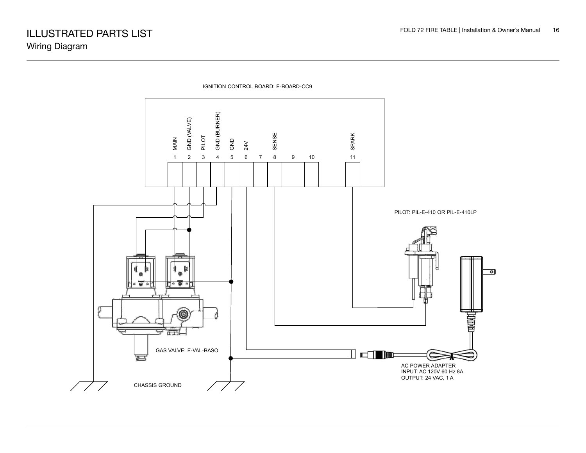

IGNITION CONTROL BOARD: E-BOARD-CC9